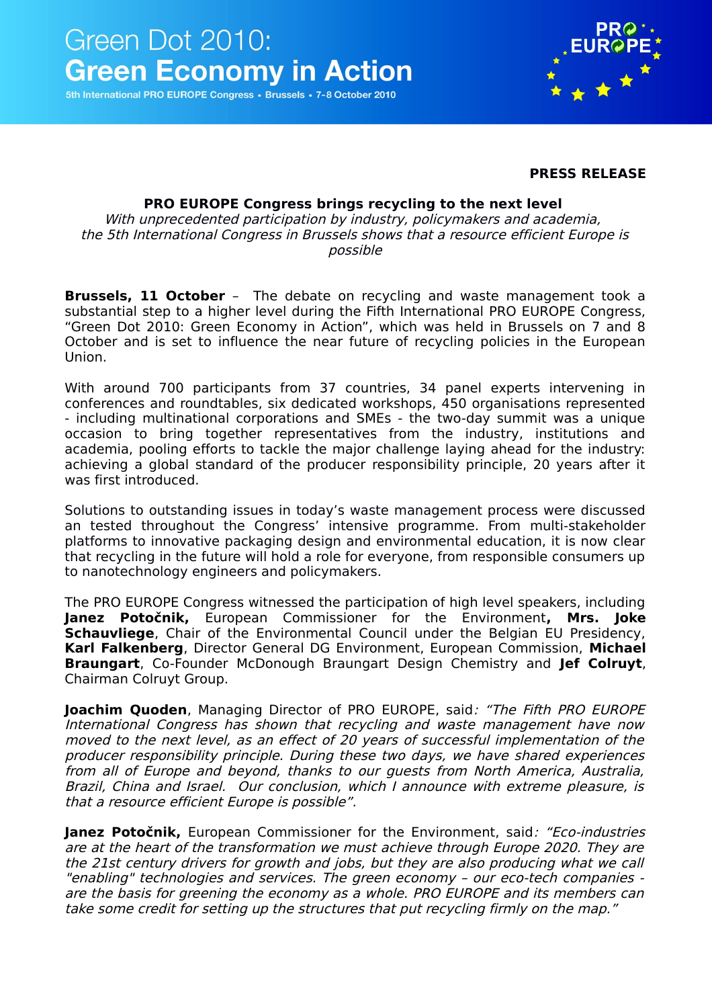

5th International PRO EUROPE Congress · Brussels · 7-8 October 2010

#### **PRESS RELEASE**

#### **PRO EUROPE Congress brings recycling to the next level**

With unprecedented participation by industry, policymakers and academia, the 5th International Congress in Brussels shows that a resource efficient Europe is possible

**Brussels, 11 October** – The debate on recycling and waste management took a substantial step to a higher level during the Fifth International PRO EUROPE Congress, "Green Dot 2010: Green Economy in Action", which was held in Brussels on 7 and 8 October and is set to influence the near future of recycling policies in the European Union.

With around 700 participants from 37 countries, 34 panel experts intervening in conferences and roundtables, six dedicated workshops, 450 organisations represented - including multinational corporations and SMEs - the two-day summit was a unique occasion to bring together representatives from the industry, institutions and academia, pooling efforts to tackle the major challenge laying ahead for the industry: achieving a global standard of the producer responsibility principle, 20 years after it was first introduced.

Solutions to outstanding issues in today's waste management process were discussed an tested throughout the Congress' intensive programme. From multi-stakeholder platforms to innovative packaging design and environmental education, it is now clear that recycling in the future will hold a role for everyone, from responsible consumers up to nanotechnology engineers and policymakers.

The PRO EUROPE Congress witnessed the participation of high level speakers, including **Janez Potočnik,** European Commissioner for the Environment**, Mrs. Joke Schauvliege**, Chair of the Environmental Council under the Belgian EU Presidency, **Karl Falkenberg**, Director General DG Environment, European Commission, **Michael Braungart**, Co-Founder McDonough Braungart Design Chemistry and **Jef Colruyt**, Chairman Colruyt Group.

**Joachim Quoden**, Managing Director of PRO EUROPE, said: "The Fifth PRO EUROPE International Congress has shown that recycling and waste management have now moved to the next level, as an effect of 20 years of successful implementation of the producer responsibility principle. During these two days, we have shared experiences from all of Europe and beyond, thanks to our guests from North America, Australia, Brazil, China and Israel. Our conclusion, which I announce with extreme pleasure, is that a resource efficient Europe is possible".

**Janez Potočnik,** European Commissioner for the Environment, said: "Eco-industries are at the heart of the transformation we must achieve through Europe 2020. They are the 21st century drivers for growth and jobs, but they are also producing what we call "enabling" technologies and services. The green economy – our eco-tech companies are the basis for greening the economy as a whole. PRO EUROPE and its members can take some credit for setting up the structures that put recycling firmly on the map."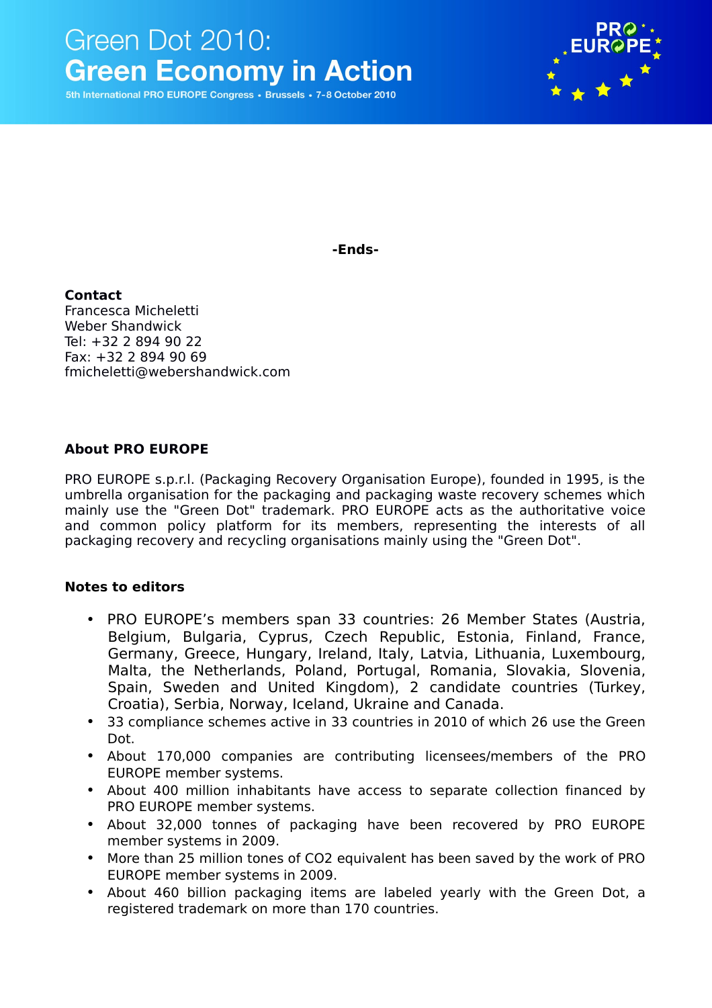

5th International PRO EUROPE Congress · Brussels · 7-8 October 2010



**-Ends-**

**Contact** Francesca Micheletti Weber Shandwick Tel: +32 2 894 90 22 Fax: +32 2 894 90 69 fmicheletti@webershandwick.com

## **About PRO EUROPE**

PRO EUROPE s.p.r.l. (Packaging Recovery Organisation Europe), founded in 1995, is the umbrella organisation for the packaging and packaging waste recovery schemes which mainly use the "Green Dot" trademark. PRO EUROPE acts as the authoritative voice and common policy platform for its members, representing the interests of all packaging recovery and recycling organisations mainly using the "Green Dot".

## **Notes to editors**

- PRO EUROPE's members span 33 countries: 26 Member States (Austria, Belgium, Bulgaria, Cyprus, Czech Republic, Estonia, Finland, France, Germany, Greece, Hungary, Ireland, Italy, Latvia, Lithuania, Luxembourg, Malta, the Netherlands, Poland, Portugal, Romania, Slovakia, Slovenia, Spain, Sweden and United Kingdom), 2 candidate countries (Turkey, Croatia), Serbia, Norway, Iceland, Ukraine and Canada.
- 33 compliance schemes active in 33 countries in 2010 of which 26 use the Green Dot.
- About 170,000 companies are contributing licensees/members of the PRO EUROPE member systems.
- About 400 million inhabitants have access to separate collection financed by PRO EUROPE member systems.
- About 32,000 tonnes of packaging have been recovered by PRO EUROPE member systems in 2009.
- More than 25 million tones of CO2 equivalent has been saved by the work of PRO EUROPE member systems in 2009.
- About 460 billion packaging items are labeled yearly with the Green Dot, a registered trademark on more than 170 countries.